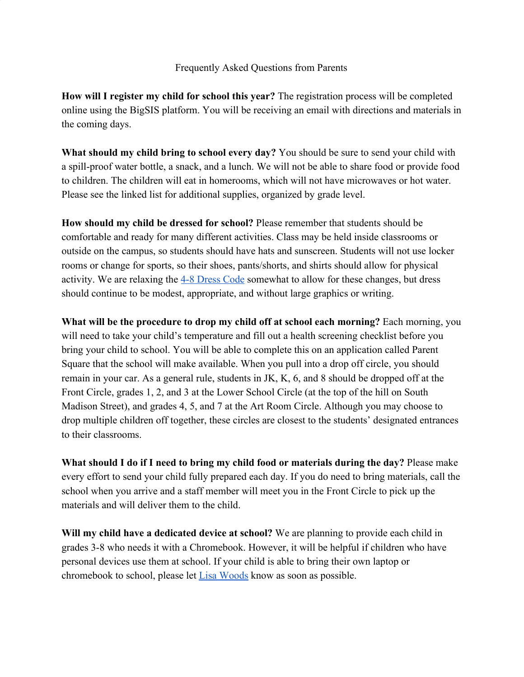## Frequently Asked Questions from Parents

**How will I register my child for school this year?** The registration process will be completed online using the BigSIS platform. You will be receiving an email with directions and materials in the coming days.

**What should my child bring to school every day?** You should be sure to send your child with a spill-proof water bottle, a snack, and a lunch. We will not be able to share food or provide food to children. The children will eat in homerooms, which will not have microwaves or hot water. Please see the linked list for additional supplies, organized by grade level.

**How should my child be dressed for school?** Please remember that students should be comfortable and ready for many different activities. Class may be held inside classrooms or outside on the campus, so students should have hats and sunscreen. Students will not use locker rooms or change for sports, so their shoes, pants/shorts, and shirts should allow for physical activity. We are relaxing the [4-8 Dress Code](https://docs.google.com/document/d/1S05qrOUpjQqfCMt_-jyBgAaAlD80NA8_YzMNfrDk0e4/edit?ts=5f3d75c8) somewhat to allow for these changes, but dress should continue to be modest, appropriate, and without large graphics or writing.

**What will be the procedure to drop my child off at school each morning?** Each morning, you will need to take your child's temperature and fill out a health screening checklist before you bring your child to school. You will be able to complete this on an application called Parent Square that the school will make available. When you pull into a drop off circle, you should remain in your car. As a general rule, students in JK, K, 6, and 8 should be dropped off at the Front Circle, grades 1, 2, and 3 at the Lower School Circle (at the top of the hill on South Madison Street), and grades 4, 5, and 7 at the Art Room Circle. Although you may choose to drop multiple children off together, these circles are closest to the students' designated entrances to their classrooms.

**What should I do if I need to bring my child food or materials during the day?** Please make every effort to send your child fully prepared each day. If you do need to bring materials, call the school when you arrive and a staff member will meet you in the Front Circle to pick up the materials and will deliver them to the child.

**Will my child have a dedicated device at school?** We are planning to provide each child in grades 3-8 who needs it with a Chromebook. However, it will be helpful if children who have personal devices use them at school. If your child is able to bring their own laptop or chromebook to school, please let [Lisa Woods](mailto:lwoods@thehillschool.org) know as soon as possible.